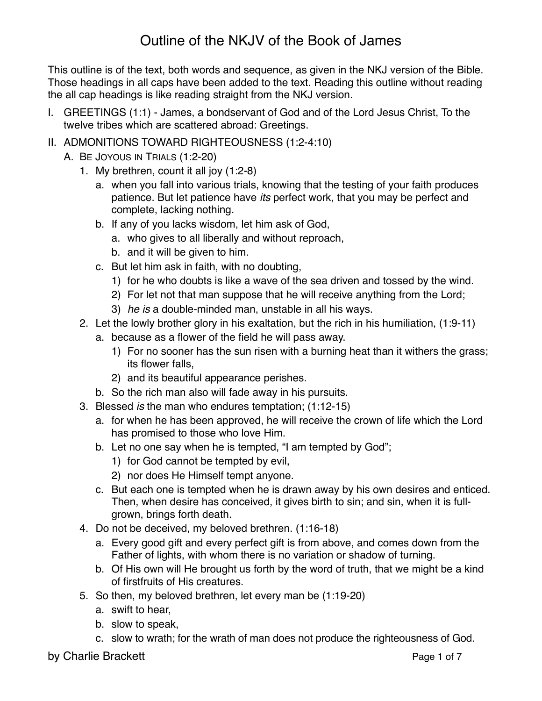This outline is of the text, both words and sequence, as given in the NKJ version of the Bible. Those headings in all caps have been added to the text. Reading this outline without reading the all cap headings is like reading straight from the NKJ version.

- I. GREETINGS (1:1) James, a bondservant of God and of the Lord Jesus Christ, To the twelve tribes which are scattered abroad: Greetings.
- II. ADMONITIONS TOWARD RIGHTEOUSNESS (1:2-4:10)
	- A. BE JOYOUS IN TRIALS (1:2-20)
		- 1. My brethren, count it all joy (1:2-8)
			- a. when you fall into various trials, knowing that the testing of your faith produces patience. But let patience have *its* perfect work, that you may be perfect and complete, lacking nothing.
			- b. If any of you lacks wisdom, let him ask of God,
				- a. who gives to all liberally and without reproach,
				- b. and it will be given to him.
			- c. But let him ask in faith, with no doubting,
				- 1) for he who doubts is like a wave of the sea driven and tossed by the wind.
				- 2) For let not that man suppose that he will receive anything from the Lord;
				- 3) *he is* a double-minded man, unstable in all his ways.
		- 2. Let the lowly brother glory in his exaltation, but the rich in his humiliation, (1:9-11)
			- a. because as a flower of the field he will pass away.
				- 1) For no sooner has the sun risen with a burning heat than it withers the grass; its flower falls,
				- 2) and its beautiful appearance perishes.
			- b. So the rich man also will fade away in his pursuits.
		- 3. Blessed *is* the man who endures temptation; (1:12-15)
			- a. for when he has been approved, he will receive the crown of life which the Lord has promised to those who love Him.
			- b. Let no one say when he is tempted, "I am tempted by God";
				- 1) for God cannot be tempted by evil,
				- 2) nor does He Himself tempt anyone.
			- c. But each one is tempted when he is drawn away by his own desires and enticed. Then, when desire has conceived, it gives birth to sin; and sin, when it is fullgrown, brings forth death.
		- 4. Do not be deceived, my beloved brethren. (1:16-18)
			- a. Every good gift and every perfect gift is from above, and comes down from the Father of lights, with whom there is no variation or shadow of turning.
			- b. Of His own will He brought us forth by the word of truth, that we might be a kind of firstfruits of His creatures.
		- 5. So then, my beloved brethren, let every man be (1:19-20)
			- a. swift to hear,
			- b. slow to speak,
			- c. slow to wrath; for the wrath of man does not produce the righteousness of God.

by Charlie Brackett **Page 1 of 7** and 2 of 7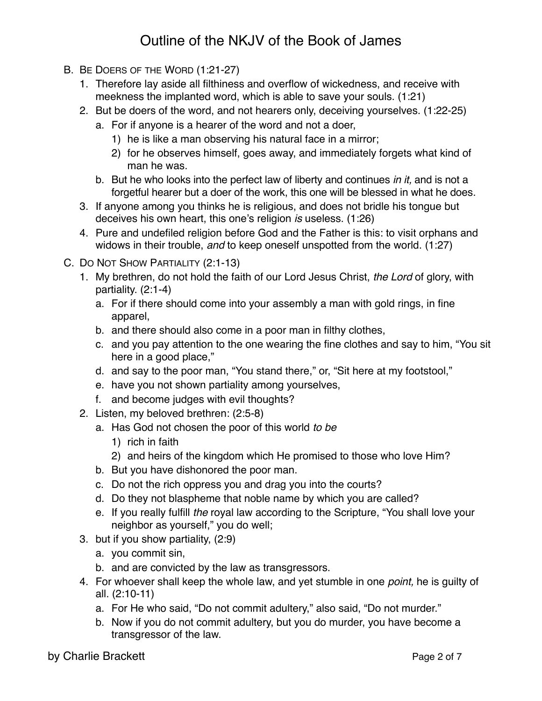- B. BE DOERS OF THE WORD (1:21-27)
	- 1. Therefore lay aside all filthiness and overflow of wickedness, and receive with meekness the implanted word, which is able to save your souls. (1:21)
	- 2. But be doers of the word, and not hearers only, deceiving yourselves. (1:22-25)
		- a. For if anyone is a hearer of the word and not a doer,
			- 1) he is like a man observing his natural face in a mirror;
			- 2) for he observes himself, goes away, and immediately forgets what kind of man he was.
		- b. But he who looks into the perfect law of liberty and continues *in it,* and is not a forgetful hearer but a doer of the work, this one will be blessed in what he does.
	- 3. If anyone among you thinks he is religious, and does not bridle his tongue but deceives his own heart, this one's religion *is* useless. (1:26)
	- 4. Pure and undefiled religion before God and the Father is this: to visit orphans and widows in their trouble, *and* to keep oneself unspotted from the world. (1:27)
- C. DO NOT SHOW PARTIALITY (2:1-13)
	- 1. My brethren, do not hold the faith of our Lord Jesus Christ, *the Lord* of glory, with partiality. (2:1-4)
		- a. For if there should come into your assembly a man with gold rings, in fine apparel,
		- b. and there should also come in a poor man in filthy clothes,
		- c. and you pay attention to the one wearing the fine clothes and say to him, "You sit here in a good place,"
		- d. and say to the poor man, "You stand there," or, "Sit here at my footstool,"
		- e. have you not shown partiality among yourselves,
		- f. and become judges with evil thoughts?
	- 2. Listen, my beloved brethren: (2:5-8)
		- a. Has God not chosen the poor of this world *to be*
			- 1) rich in faith
			- 2) and heirs of the kingdom which He promised to those who love Him?
		- b. But you have dishonored the poor man.
		- c. Do not the rich oppress you and drag you into the courts?
		- d. Do they not blaspheme that noble name by which you are called?
		- e. If you really fulfill *the* royal law according to the Scripture, "You shall love your neighbor as yourself," you do well;
	- 3. but if you show partiality, (2:9)
		- a. you commit sin,
		- b. and are convicted by the law as transgressors.
	- 4. For whoever shall keep the whole law, and yet stumble in one *point,* he is guilty of all. (2:10-11)
		- a. For He who said, "Do not commit adultery," also said, "Do not murder."
		- b. Now if you do not commit adultery, but you do murder, you have become a transgressor of the law.

by Charlie Brackett **Page 2 of 7** and 2 of 7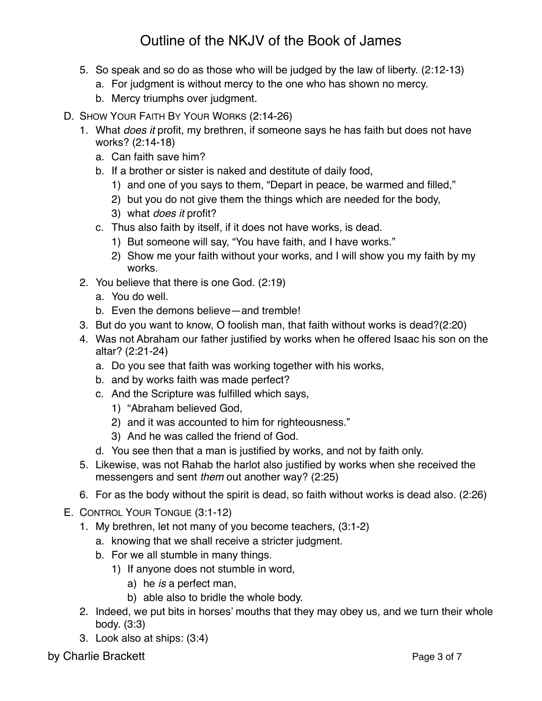- 5. So speak and so do as those who will be judged by the law of liberty. (2:12-13)
	- a. For judgment is without mercy to the one who has shown no mercy.
	- b. Mercy triumphs over judgment.
- D. SHOW YOUR FAITH BY YOUR WORKS (2:14-26)
	- 1. What *does it* profit, my brethren, if someone says he has faith but does not have works? (2:14-18)
		- a. Can faith save him?
		- b. If a brother or sister is naked and destitute of daily food,
			- 1) and one of you says to them, "Depart in peace, be warmed and filled,"
			- 2) but you do not give them the things which are needed for the body,
			- 3) what *does it* profit?
		- c. Thus also faith by itself, if it does not have works, is dead.
			- 1) But someone will say, "You have faith, and I have works."
			- 2) Show me your faith without your works, and I will show you my faith by my works.
	- 2. You believe that there is one God. (2:19)
		- a. You do well.
		- b. Even the demons believe—and tremble!
	- 3. But do you want to know, O foolish man, that faith without works is dead?(2:20)
	- 4. Was not Abraham our father justified by works when he offered Isaac his son on the altar? (2:21-24)
		- a. Do you see that faith was working together with his works,
		- b. and by works faith was made perfect?
		- c. And the Scripture was fulfilled which says,
			- 1) "Abraham believed God,
			- 2) and it was accounted to him for righteousness."
			- 3) And he was called the friend of God.
		- d. You see then that a man is justified by works, and not by faith only.
	- 5. Likewise, was not Rahab the harlot also justified by works when she received the messengers and sent *them* out another way? (2:25)
	- 6. For as the body without the spirit is dead, so faith without works is dead also. (2:26)
- E. CONTROL YOUR TONGUE (3:1-12)
	- 1. My brethren, let not many of you become teachers, (3:1-2)
		- a. knowing that we shall receive a stricter judgment.
		- b. For we all stumble in many things.
			- 1) If anyone does not stumble in word,
				- a) he *is* a perfect man,
				- b) able also to bridle the whole body.
	- 2. Indeed, we put bits in horses' mouths that they may obey us, and we turn their whole body. (3:3)
	- 3. Look also at ships: (3:4)

by Charlie Brackett **Page 3 of 7** and 2 of 7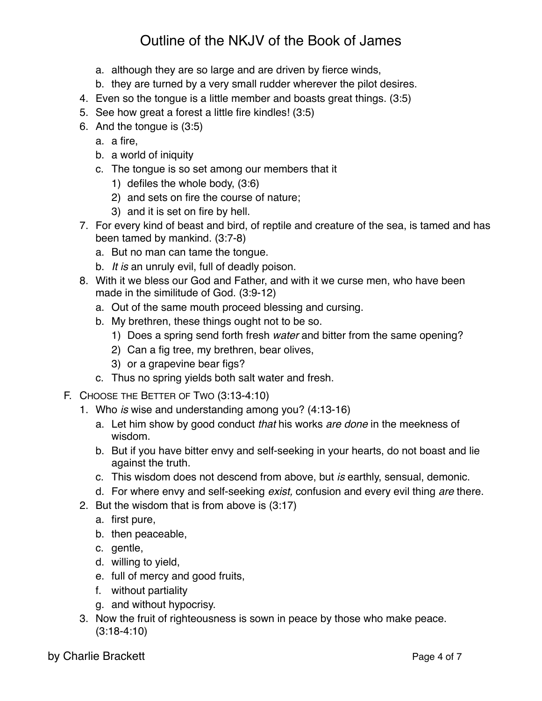- a. although they are so large and are driven by fierce winds,
- b. they are turned by a very small rudder wherever the pilot desires.
- 4. Even so the tongue is a little member and boasts great things. (3:5)
- 5. See how great a forest a little fire kindles! (3:5)
- 6. And the tongue is (3:5)
	- a. a fire,
	- b. a world of iniquity
	- c. The tongue is so set among our members that it
		- 1) defiles the whole body, (3:6)
		- 2) and sets on fire the course of nature;
		- 3) and it is set on fire by hell.
- 7. For every kind of beast and bird, of reptile and creature of the sea, is tamed and has been tamed by mankind. (3:7-8)
	- a. But no man can tame the tongue.
	- b. *It is* an unruly evil, full of deadly poison.
- 8. With it we bless our God and Father, and with it we curse men, who have been made in the similitude of God. (3:9-12)
	- a. Out of the same mouth proceed blessing and cursing.
	- b. My brethren, these things ought not to be so.
		- 1) Does a spring send forth fresh *water* and bitter from the same opening?
		- 2) Can a fig tree, my brethren, bear olives,
		- 3) or a grapevine bear figs?
	- c. Thus no spring yields both salt water and fresh.
- F. CHOOSE THE BETTER OF TWO (3:13-4:10)
	- 1. Who *is* wise and understanding among you? (4:13-16)
		- a. Let him show by good conduct *that* his works *are done* in the meekness of wisdom.
		- b. But if you have bitter envy and self-seeking in your hearts, do not boast and lie against the truth.
		- c. This wisdom does not descend from above, but *is* earthly, sensual, demonic.
		- d. For where envy and self-seeking *exist,* confusion and every evil thing *are* there.
	- 2. But the wisdom that is from above is (3:17)
		- a. first pure,
		- b. then peaceable,
		- c. gentle,
		- d. willing to yield,
		- e. full of mercy and good fruits,
		- f. without partiality
		- g. and without hypocrisy.
	- 3. Now the fruit of righteousness is sown in peace by those who make peace. (3:18-4:10)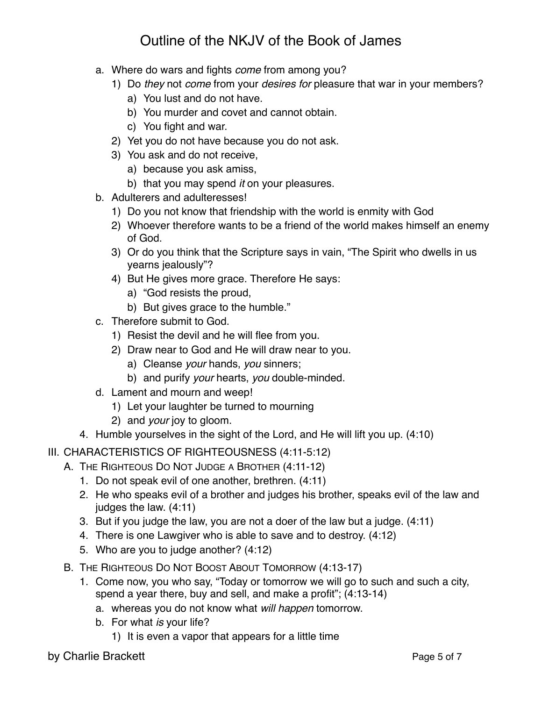- a. Where do wars and fights *come* from among you?
	- 1) Do *they* not *come* from your *desires for* pleasure that war in your members?
		- a) You lust and do not have.
		- b) You murder and covet and cannot obtain.
		- c) You fight and war.
	- 2) Yet you do not have because you do not ask.
	- 3) You ask and do not receive,
		- a) because you ask amiss,
		- b) that you may spend *it* on your pleasures.
- b. Adulterers and adulteresses!
	- 1) Do you not know that friendship with the world is enmity with God
	- 2) Whoever therefore wants to be a friend of the world makes himself an enemy of God.
	- 3) Or do you think that the Scripture says in vain, "The Spirit who dwells in us yearns jealously"?
	- 4) But He gives more grace. Therefore He says:
		- a) "God resists the proud,
		- b) But gives grace to the humble."
- c. Therefore submit to God.
	- 1) Resist the devil and he will flee from you.
	- 2) Draw near to God and He will draw near to you.
		- a) Cleanse *your* hands, *you* sinners;
		- b) and purify *your* hearts, *you* double-minded.
- d. Lament and mourn and weep!
	- 1) Let your laughter be turned to mourning
	- 2) and *your* joy to gloom.
- 4. Humble yourselves in the sight of the Lord, and He will lift you up. (4:10)
- III. CHARACTERISTICS OF RIGHTEOUSNESS (4:11-5:12)
	- A. THE RIGHTEOUS DO NOT JUDGE A BROTHER (4:11-12)
		- 1. Do not speak evil of one another, brethren. (4:11)
		- 2. He who speaks evil of a brother and judges his brother, speaks evil of the law and judges the law. (4:11)
		- 3. But if you judge the law, you are not a doer of the law but a judge. (4:11)
		- 4. There is one Lawgiver who is able to save and to destroy. (4:12)
		- 5. Who are you to judge another? (4:12)
	- B. THE RIGHTEOUS DO NOT BOOST ABOUT TOMORROW (4:13-17)
		- 1. Come now, you who say, "Today or tomorrow we will go to such and such a city, spend a year there, buy and sell, and make a profit"; (4:13-14)
			- a. whereas you do not know what *will happen* tomorrow.
			- b. For what *is* your life?
				- 1) It is even a vapor that appears for a little time

by Charlie Brackett Page 5 of 7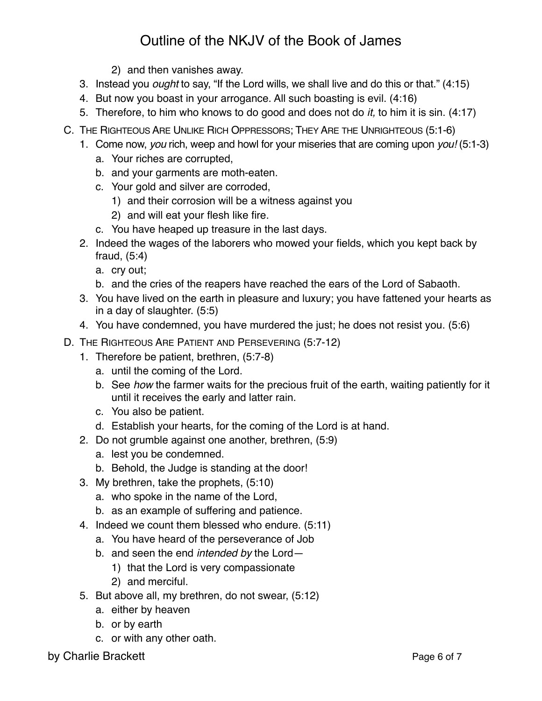- 2) and then vanishes away.
- 3. Instead you *ought* to say, "If the Lord wills, we shall live and do this or that." (4:15)
- 4. But now you boast in your arrogance. All such boasting is evil. (4:16)
- 5. Therefore, to him who knows to do good and does not do *it,* to him it is sin. (4:17)
- C. THE RIGHTEOUS ARE UNLIKE RICH OPPRESSORS; THEY ARE THE UNRIGHTEOUS (5:1-6)
	- 1. Come now, *you* rich, weep and howl for your miseries that are coming upon *you!* (5:1-3)
		- a. Your riches are corrupted,
		- b. and your garments are moth-eaten.
		- c. Your gold and silver are corroded,
			- 1) and their corrosion will be a witness against you
			- 2) and will eat your flesh like fire.
		- c. You have heaped up treasure in the last days.
	- 2. Indeed the wages of the laborers who mowed your fields, which you kept back by fraud, (5:4)
		- a. cry out;
		- b. and the cries of the reapers have reached the ears of the Lord of Sabaoth.
	- 3. You have lived on the earth in pleasure and luxury; you have fattened your hearts as in a day of slaughter. (5:5)
	- 4. You have condemned, you have murdered the just; he does not resist you. (5:6)
- D. THE RIGHTEOUS ARE PATIENT AND PERSEVERING (5:7-12)
	- 1. Therefore be patient, brethren, (5:7-8)
		- a. until the coming of the Lord.
		- b. See *how* the farmer waits for the precious fruit of the earth, waiting patiently for it until it receives the early and latter rain.
		- c. You also be patient.
		- d. Establish your hearts, for the coming of the Lord is at hand.
	- 2. Do not grumble against one another, brethren, (5:9)
		- a. lest you be condemned.
		- b. Behold, the Judge is standing at the door!
	- 3. My brethren, take the prophets, (5:10)
		- a. who spoke in the name of the Lord,
		- b. as an example of suffering and patience.
	- 4. Indeed we count them blessed who endure. (5:11)
		- a. You have heard of the perseverance of Job
		- b. and seen the end *intended by* the Lord—
			- 1) that the Lord is very compassionate
			- 2) and merciful.
	- 5. But above all, my brethren, do not swear, (5:12)
		- a. either by heaven
		- b. or by earth
		- c. or with any other oath.

by Charlie Brackett **Page 6 of 7** and 20 and 20 and 20 and 20 and 20 and 20 and 20 and 20 and 20 and 20 and 20 and 20 and 20 and 20 and 20 and 20 and 20 and 20 and 20 and 20 and 20 and 20 and 20 and 20 and 20 and 20 and 20